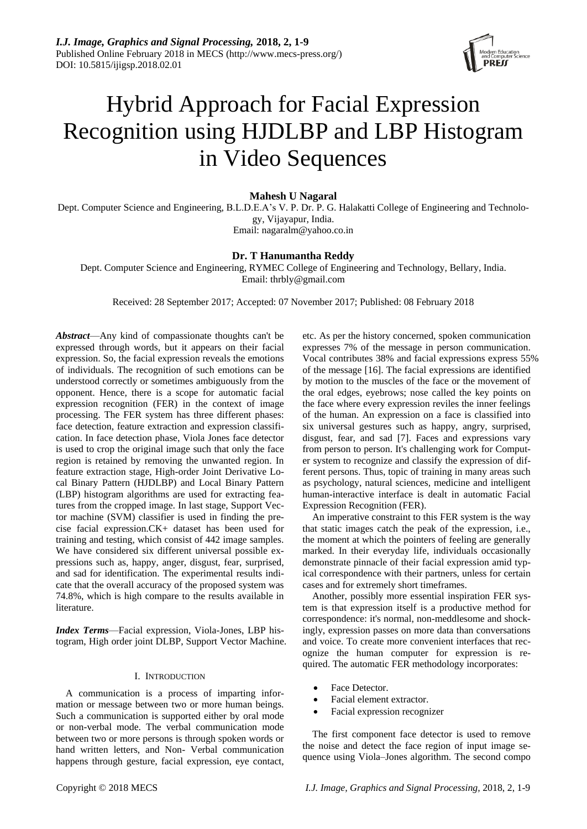

# Hybrid Approach for Facial Expression Recognition using HJDLBP and LBP Histogram in Video Sequences

**Mahesh U Nagaral**

Dept. Computer Science and Engineering, B.L.D.E.A's V. P. Dr. P. G. Halakatti College of Engineering and Technology, Vijayapur, India. Email: nagaralm@yahoo.co.in

# **Dr. T Hanumantha Reddy**

Dept. Computer Science and Engineering, RYMEC College of Engineering and Technology, Bellary, India. Email: thrbly@gmail.com

Received: 28 September 2017; Accepted: 07 November 2017; Published: 08 February 2018

*Abstract*—Any kind of compassionate thoughts can't be expressed through words, but it appears on their facial expression. So, the facial expression reveals the emotions of individuals. The recognition of such emotions can be understood correctly or sometimes ambiguously from the opponent. Hence, there is a scope for automatic facial expression recognition (FER) in the context of image processing. The FER system has three different phases: face detection, feature extraction and expression classification. In face detection phase, Viola Jones face detector is used to crop the original image such that only the face region is retained by removing the unwanted region. In feature extraction stage, High-order Joint Derivative Local Binary Pattern (HJDLBP) and Local Binary Pattern (LBP) histogram algorithms are used for extracting features from the cropped image. In last stage, Support Vector machine (SVM) classifier is used in finding the precise facial expression.CK+ dataset has been used for training and testing, which consist of 442 image samples. We have considered six different universal possible expressions such as, happy, anger, disgust, fear, surprised, and sad for identification. The experimental results indicate that the overall accuracy of the proposed system was 74.8%, which is high compare to the results available in literature.

*Index Terms*—Facial expression, Viola-Jones, LBP histogram, High order joint DLBP, Support Vector Machine.

# I. INTRODUCTION

A communication is a process of imparting information or message between two or more human beings. Such a communication is supported either by oral mode or non-verbal mode. The verbal communication mode between two or more persons is through spoken words or hand written letters, and Non- Verbal communication happens through gesture, facial expression, eye contact,

etc. As per the history concerned, spoken communication expresses 7% of the message in person communication. Vocal contributes 38% and facial expressions express 55% of the message [16]. The facial expressions are identified by motion to the muscles of the face or the movement of the oral edges, eyebrows; nose called the key points on the face where every expression reviles the inner feelings of the human. An expression on a face is classified into six universal gestures such as happy, angry, surprised, disgust, fear, and sad [7]. Faces and expressions vary from person to person. It's challenging work for Computer system to recognize and classify the expression of different persons. Thus, topic of training in many areas such as psychology, natural sciences, medicine and intelligent human-interactive interface is dealt in automatic Facial Expression Recognition (FER).

An imperative constraint to this FER system is the way that static images catch the peak of the expression, i.e., the moment at which the pointers of feeling are generally marked. In their everyday life, individuals occasionally demonstrate pinnacle of their facial expression amid typical correspondence with their partners, unless for certain cases and for extremely short timeframes.

Another, possibly more essential inspiration FER system is that expression itself is a productive method for correspondence: it's normal, non-meddlesome and shockingly, expression passes on more data than conversations and voice. To create more convenient interfaces that recognize the human computer for expression is required. The automatic FER methodology incorporates:

- Face Detector.
- Facial element extractor.
- Facial expression recognizer

The first component face detector is used to remove the noise and detect the face region of input image sequence using Viola–Jones algorithm. The second compo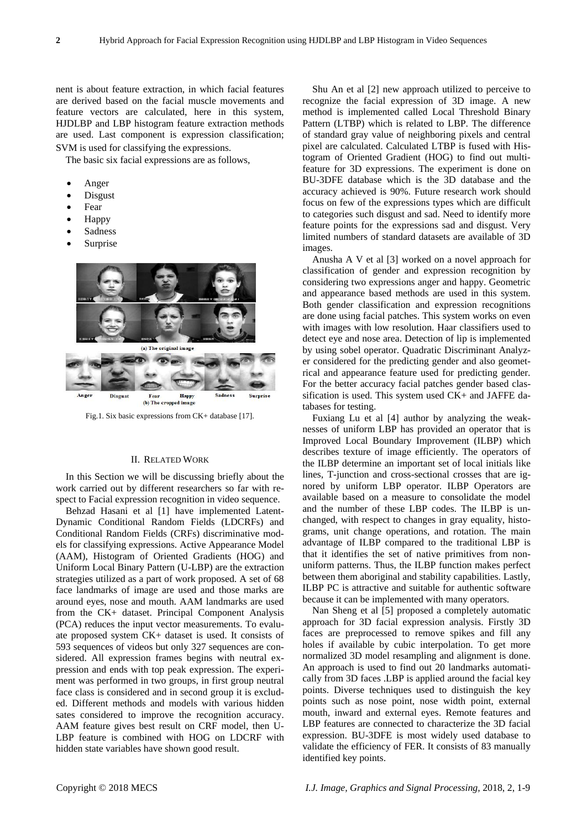nent is about feature extraction, in which facial features are derived based on the facial muscle movements and feature vectors are calculated, here in this system, HJDLBP and LBP histogram feature extraction methods are used. Last component is expression classification; SVM is used for classifying the expressions.

The basic six facial expressions are as follows,

- Anger
- Disgust
- Fear
- Happy
- Sadness
- Surprise



Fig.1. Six basic expressions from CK+ database [17].

# II. RELATED WORK

In this Section we will be discussing briefly about the work carried out by different researchers so far with respect to Facial expression recognition in video sequence.

Behzad Hasani et al [1] have implemented Latent-Dynamic Conditional Random Fields (LDCRFs) and Conditional Random Fields (CRFs) discriminative models for classifying expressions. Active Appearance Model (AAM), Histogram of Oriented Gradients (HOG) and Uniform Local Binary Pattern (U-LBP) are the extraction strategies utilized as a part of work proposed. A set of 68 face landmarks of image are used and those marks are around eyes, nose and mouth. AAM landmarks are used from the CK+ dataset. Principal Component Analysis (PCA) reduces the input vector measurements. To evaluate proposed system CK+ dataset is used. It consists of 593 sequences of videos but only 327 sequences are considered. All expression frames begins with neutral expression and ends with top peak expression. The experiment was performed in two groups, in first group neutral face class is considered and in second group it is excluded. Different methods and models with various hidden sates considered to improve the recognition accuracy. AAM feature gives best result on CRF model, then U-LBP feature is combined with HOG on LDCRF with hidden state variables have shown good result.

Shu An et al [2] new approach utilized to perceive to recognize the facial expression of 3D image. A new method is implemented called Local Threshold Binary Pattern (LTBP) which is related to LBP. The difference of standard gray value of neighboring pixels and central pixel are calculated. Calculated LTBP is fused with Histogram of Oriented Gradient (HOG) to find out multifeature for 3D expressions. The experiment is done on BU-3DFE database which is the 3D database and the accuracy achieved is 90%. Future research work should focus on few of the expressions types which are difficult to categories such disgust and sad. Need to identify more feature points for the expressions sad and disgust. Very limited numbers of standard datasets are available of 3D images.

Anusha A V et al [3] worked on a novel approach for classification of gender and expression recognition by considering two expressions anger and happy. Geometric and appearance based methods are used in this system. Both gender classification and expression recognitions are done using facial patches. This system works on even with images with low resolution. Haar classifiers used to detect eye and nose area. Detection of lip is implemented by using sobel operator. Quadratic Discriminant Analyzer considered for the predicting gender and also geometrical and appearance feature used for predicting gender. For the better accuracy facial patches gender based classification is used. This system used CK+ and JAFFE databases for testing.

Fuxiang Lu et al [4] author by analyzing the weaknesses of uniform LBP has provided an operator that is Improved Local Boundary Improvement (ILBP) which describes texture of image efficiently. The operators of the ILBP determine an important set of local initials like lines, T-junction and cross-sectional crosses that are ignored by uniform LBP operator. ILBP Operators are available based on a measure to consolidate the model and the number of these LBP codes. The ILBP is unchanged, with respect to changes in gray equality, histograms, unit change operations, and rotation. The main advantage of ILBP compared to the traditional LBP is that it identifies the set of native primitives from nonuniform patterns. Thus, the ILBP function makes perfect between them aboriginal and stability capabilities. Lastly, ILBP PC is attractive and suitable for authentic software because it can be implemented with many operators.

Nan Sheng et al [5] proposed a completely automatic approach for 3D facial expression analysis. Firstly 3D faces are preprocessed to remove spikes and fill any holes if available by cubic interpolation. To get more normalized 3D model resampling and alignment is done. An approach is used to find out 20 landmarks automatically from 3D faces .LBP is applied around the facial key points. Diverse techniques used to distinguish the key points such as nose point, nose width point, external mouth, inward and external eyes. Remote features and LBP features are connected to characterize the 3D facial expression. BU-3DFE is most widely used database to validate the efficiency of FER. It consists of 83 manually identified key points.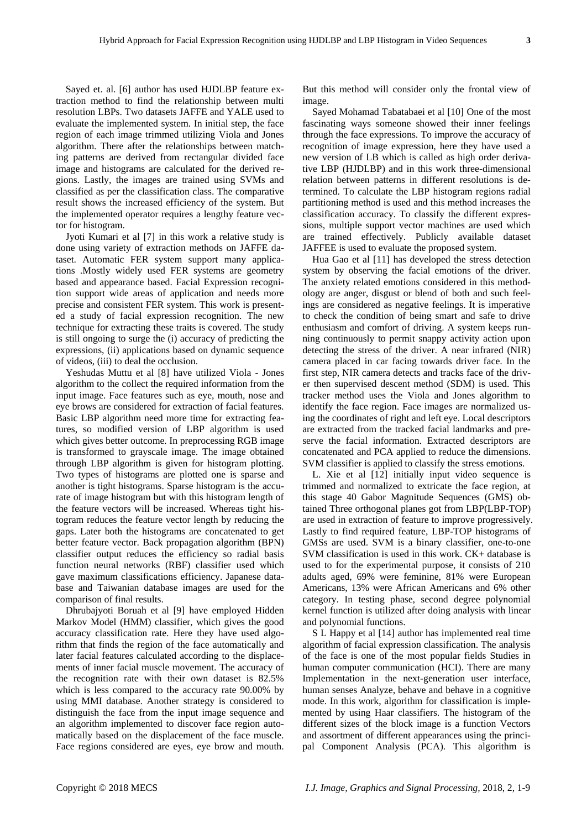Sayed et. al. [6] author has used HJDLBP feature extraction method to find the relationship between multi resolution LBPs. Two datasets JAFFE and YALE used to evaluate the implemented system. In initial step, the face region of each image trimmed utilizing Viola and Jones algorithm. There after the relationships between matching patterns are derived from rectangular divided face image and histograms are calculated for the derived regions. Lastly, the images are trained using SVMs and classified as per the classification class. The comparative result shows the increased efficiency of the system. But the implemented operator requires a lengthy feature vector for histogram.

Jyoti Kumari et al [7] in this work a relative study is done using variety of extraction methods on JAFFE dataset. Automatic FER system support many applications .Mostly widely used FER systems are geometry based and appearance based. Facial Expression recognition support wide areas of application and needs more precise and consistent FER system. This work is presented a study of facial expression recognition. The new technique for extracting these traits is covered. The study is still ongoing to surge the (i) accuracy of predicting the expressions, (ii) applications based on dynamic sequence of videos, (iii) to deal the occlusion.

Yeshudas Muttu et al [8] have utilized Viola - Jones algorithm to the collect the required information from the input image. Face features such as eye, mouth, nose and eye brows are considered for extraction of facial features. Basic LBP algorithm need more time for extracting features, so modified version of LBP algorithm is used which gives better outcome. In preprocessing RGB image is transformed to grayscale image. The image obtained through LBP algorithm is given for histogram plotting. Two types of histograms are plotted one is sparse and another is tight histograms. Sparse histogram is the accurate of image histogram but with this histogram length of the feature vectors will be increased. Whereas tight histogram reduces the feature vector length by reducing the gaps. Later both the histograms are concatenated to get better feature vector. Back propagation algorithm (BPN) classifier output reduces the efficiency so radial basis function neural networks (RBF) classifier used which gave maximum classifications efficiency. Japanese database and Taiwanian database images are used for the comparison of final results.

Dhrubajyoti Boruah et al [9] have employed Hidden Markov Model (HMM) classifier, which gives the good accuracy classification rate. Here they have used algorithm that finds the region of the face automatically and later facial features calculated according to the displacements of inner facial muscle movement. The accuracy of the recognition rate with their own dataset is 82.5% which is less compared to the accuracy rate 90.00% by using MMI database. Another strategy is considered to distinguish the face from the input image sequence and an algorithm implemented to discover face region automatically based on the displacement of the face muscle. Face regions considered are eyes, eye brow and mouth.

But this method will consider only the frontal view of image.

Sayed Mohamad Tabatabaei et al [10] One of the most fascinating ways someone showed their inner feelings through the face expressions. To improve the accuracy of recognition of image expression, here they have used a new version of LB which is called as high order derivative LBP (HJDLBP) and in this work three-dimensional relation between patterns in different resolutions is determined. To calculate the LBP histogram regions radial partitioning method is used and this method increases the classification accuracy. To classify the different expressions, multiple support vector machines are used which are trained effectively. Publicly available dataset JAFFEE is used to evaluate the proposed system.

Hua Gao et al [11] has developed the stress detection system by observing the facial emotions of the driver. The anxiety related emotions considered in this methodology are anger, disgust or blend of both and such feelings are considered as negative feelings. It is imperative to check the condition of being smart and safe to drive enthusiasm and comfort of driving. A system keeps running continuously to permit snappy activity action upon detecting the stress of the driver. A near infrared (NIR) camera placed in car facing towards driver face. In the first step, NIR camera detects and tracks face of the driver then supervised descent method (SDM) is used. This tracker method uses the Viola and Jones algorithm to identify the face region. Face images are normalized using the coordinates of right and left eye. Local descriptors are extracted from the tracked facial landmarks and preserve the facial information. Extracted descriptors are concatenated and PCA applied to reduce the dimensions. SVM classifier is applied to classify the stress emotions.

L. Xie et al [12] initially input video sequence is trimmed and normalized to extricate the face region, at this stage 40 Gabor Magnitude Sequences (GMS) obtained Three orthogonal planes got from LBP(LBP-TOP) are used in extraction of feature to improve progressively. Lastly to find required feature, LBP-TOP histograms of GMSs are used. SVM is a binary classifier, one-to-one SVM classification is used in this work. CK+ database is used to for the experimental purpose, it consists of 210 adults aged, 69% were feminine, 81% were European Americans, 13% were African Americans and 6% other category. In testing phase, second degree polynomial kernel function is utilized after doing analysis with linear and polynomial functions.

S L Happy et al [14] author has implemented real time algorithm of facial expression classification. The analysis of the face is one of the most popular fields Studies in human computer communication (HCI). There are many Implementation in the next-generation user interface, human senses Analyze, behave and behave in a cognitive mode. In this work, algorithm for classification is implemented by using Haar classifiers. The histogram of the different sizes of the block image is a function Vectors and assortment of different appearances using the principal Component Analysis (PCA). This algorithm is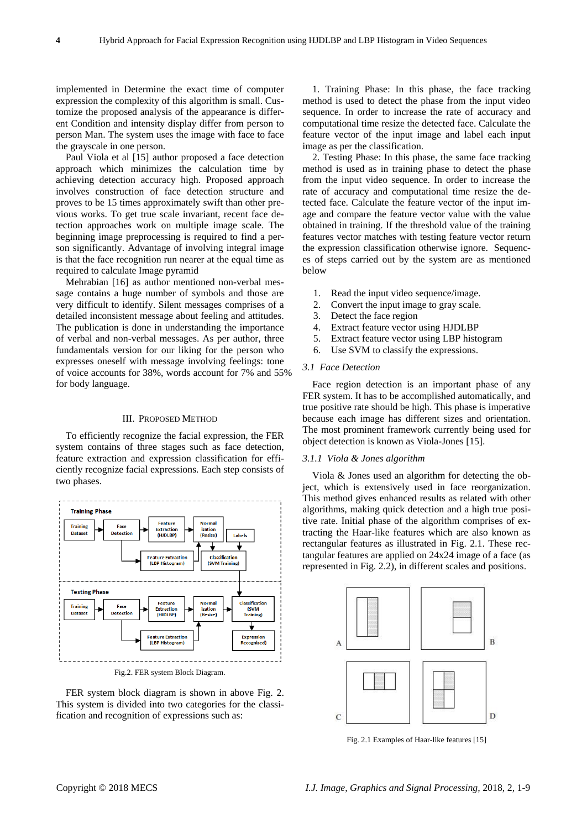implemented in Determine the exact time of computer expression the complexity of this algorithm is small. Customize the proposed analysis of the appearance is different Condition and intensity display differ from person to person Man. The system uses the image with face to face the grayscale in one person.

Paul Viola et al [15] author proposed a face detection approach which minimizes the calculation time by achieving detection accuracy high. Proposed approach involves construction of face detection structure and proves to be 15 times approximately swift than other previous works. To get true scale invariant, recent face detection approaches work on multiple image scale. The beginning image preprocessing is required to find a person significantly. Advantage of involving integral image is that the face recognition run nearer at the equal time as required to calculate Image pyramid

Mehrabian [16] as author mentioned non-verbal message contains a huge number of symbols and those are very difficult to identify. Silent messages comprises of a detailed inconsistent message about feeling and attitudes. The publication is done in understanding the importance of verbal and non-verbal messages. As per author, three fundamentals version for our liking for the person who expresses oneself with message involving feelings: tone of voice accounts for 38%, words account for 7% and 55% for body language.

## III. PROPOSED METHOD

To efficiently recognize the facial expression, the FER system contains of three stages such as face detection, feature extraction and expression classification for efficiently recognize facial expressions. Each step consists of two phases.



Fig.2. FER system Block Diagram.

FER system block diagram is shown in above Fig. 2. This system is divided into two categories for the classification and recognition of expressions such as:

1. Training Phase: In this phase, the face tracking method is used to detect the phase from the input video sequence. In order to increase the rate of accuracy and computational time resize the detected face. Calculate the feature vector of the input image and label each input image as per the classification.

2. Testing Phase: In this phase, the same face tracking method is used as in training phase to detect the phase from the input video sequence. In order to increase the rate of accuracy and computational time resize the detected face. Calculate the feature vector of the input image and compare the feature vector value with the value obtained in training. If the threshold value of the training features vector matches with testing feature vector return the expression classification otherwise ignore. Sequences of steps carried out by the system are as mentioned below

- 1. Read the input video sequence/image.
- 2. Convert the input image to gray scale.
- 3. Detect the face region
- 4. Extract feature vector using HJDLBP
- 5. Extract feature vector using LBP histogram
- 6. Use SVM to classify the expressions.

#### *3.1 Face Detection*

Face region detection is an important phase of any FER system. It has to be accomplished automatically, and true positive rate should be high. This phase is imperative because each image has different sizes and orientation. The most prominent framework currently being used for object detection is known as Viola-Jones [15].

# *3.1.1 Viola & Jones algorithm*

Viola & Jones used an algorithm for detecting the object, which is extensively used in face reorganization. This method gives enhanced results as related with other algorithms, making quick detection and a high true positive rate. Initial phase of the algorithm comprises of extracting the Haar-like features which are also known as rectangular features as illustrated in Fig. 2.1. These rectangular features are applied on 24x24 image of a face (as represented in Fig. 2.2), in different scales and positions.



Fig. 2.1 Examples of Haar-like features [15]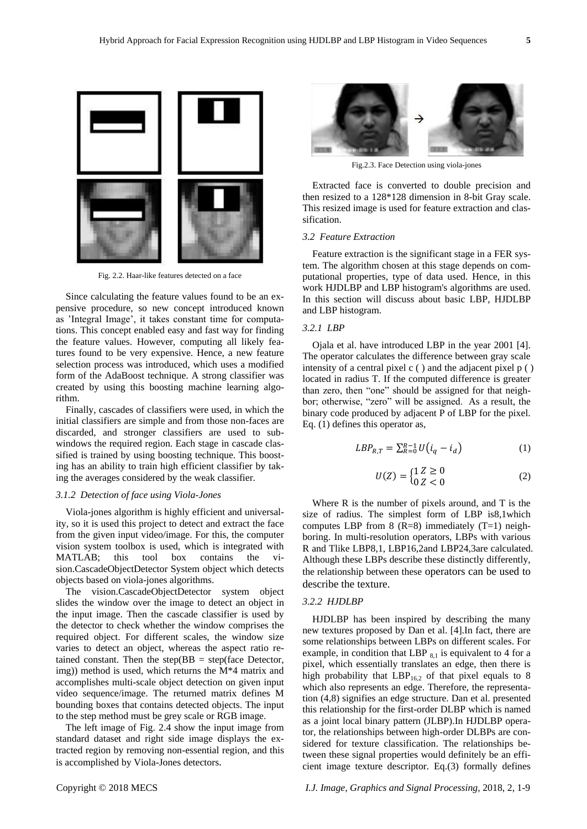

Fig. 2.2. Haar-like features detected on a face

Since calculating the feature values found to be an expensive procedure, so new concept introduced known as 'Integral Image', it takes constant time for computations. This concept enabled easy and fast way for finding the feature values. However, computing all likely features found to be very expensive. Hence, a new feature selection process was introduced, which uses a modified form of the AdaBoost technique. A strong classifier was created by using this boosting machine learning algorithm.

Finally, cascades of classifiers were used, in which the initial classifiers are simple and from those non-faces are discarded, and stronger classifiers are used to subwindows the required region. Each stage in cascade classified is trained by using boosting technique. This boosting has an ability to train high efficient classifier by taking the averages considered by the weak classifier.

# *3.1.2 Detection of face using Viola-Jones*

Viola-jones algorithm is highly efficient and universality, so it is used this project to detect and extract the face from the given input video/image. For this, the computer vision system toolbox is used, which is integrated with MATLAB; this tool box contains the vision.CascadeObjectDetector System object which detects objects based on viola-jones algorithms.

The [vision.CascadeObjectDetector](https://in.mathworks.com/help/vision/ref/vision.cascadeobjectdetector-class.html) system object slides the window over the image to detect an object in the input image. Then the cascade classifier is used by the detector to check whether the window comprises the required object. For different scales, the window size varies to detect an object, whereas the aspect ratio retained constant. Then the step( $BB = step(face$  Detector, img)) method is used, which returns the M\*4 matrix and accomplishes multi-scale object detection on given input video sequence/image. The returned matrix defines M bounding boxes that contains detected objects. The input to the step method must be grey scale or RGB image.

The left image of Fig. 2.4 show the input image from standard dataset and right side image displays the extracted region by removing non-essential region, and this is accomplished by Viola-Jones detectors.



Fig.2.3. Face Detection using viola-jones

Extracted face is converted to double precision and then resized to a 128\*128 dimension in 8-bit Gray scale. This resized image is used for feature extraction and classification.

#### *3.2 Feature Extraction*

Feature extraction is the significant stage in a FER system. The algorithm chosen at this stage depends on computational properties, type of data used. Hence, in this work HJDLBP and LBP histogram's algorithms are used. In this section will discuss about basic LBP, HJDLBP and LBP histogram.

# *3.2.1 LBP*

Ojala et al. have introduced LBP in the year 2001 [4]. The operator calculates the difference between gray scale intensity of a central pixel c ( ) and the adjacent pixel p ( ) located in radius T. If the computed difference is greater than zero, then "one" should be assigned for that neighbor; otherwise, "zero" will be assigned. As a result, the binary code produced by adjacent P of LBP for the pixel. Eq. (1) defines this operator as,

$$
LBP_{R,T} = \sum_{R=0}^{R-1} U(i_q - i_d)
$$
 (1)

$$
U(Z) = \begin{cases} 1 \, Z \ge 0 \\ 0 \, Z < 0 \end{cases} \tag{2}
$$

Where R is the number of pixels around, and T is the size of radius. The simplest form of LBP is8,1which computes LBP from 8 (R=8) immediately  $(T=1)$  neighboring. In multi-resolution operators, LBPs with various R and Tlike LBP8,1, LBP16,2and LBP24,3are calculated. Although these LBPs describe these distinctly differently, the relationship between these operators can be used to describe the texture.

#### *3.2.2 HJDLBP*

HJDLBP has been inspired by describing the many new textures proposed by Dan et al. [4].In fact, there are some relationships between LBPs on different scales. For example, in condition that LBP  $_{8,1}$  is equivalent to 4 for a pixel, which essentially translates an edge, then there is high probability that  $LBP<sub>16,2</sub>$  of that pixel equals to 8 which also represents an edge. Therefore, the representation (4,8) signifies an edge structure. Dan et al. presented this relationship for the first-order DLBP which is named as a joint local binary pattern (JLBP).In HJDLBP operator, the relationships between high-order DLBPs are considered for texture classification. The relationships between these signal properties would definitely be an efficient image texture descriptor. Eq.(3) formally defines

Copyright © 2018 MECS *I.J. Image, Graphics and Signal Processing,* 2018, 2, 1-9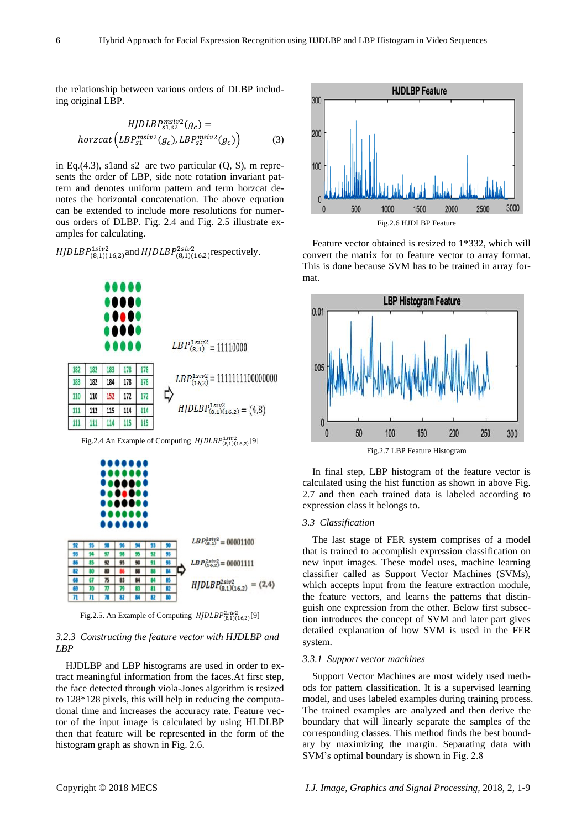the relationship between various orders of DLBP including original LBP.

$$
HJDLBP_{s1,s2}^{msiv2}(g_c) =
$$
  
horzcat  $(LBP_{s1}^{msiv2}(g_c), LBP_{s2}^{msiv2}(g_c))$  (3)

in Eq.(4.3), s1and s2 are two particular  $(Q, S)$ , m represents the order of LBP, side note rotation invariant pattern and denotes uniform pattern and term horzcat denotes the horizontal concatenation. The above equation can be extended to include more resolutions for numerous orders of DLBP. Fig. 2.4 and Fig. 2.5 illustrate examples for calculating.

*HJDLBP*<sup>1siv2</sup>(8,1)(16,2) and *HJDLBP*<sup>2siv2</sup>(8,1)(16,2) respectively.



Fig.2.4 An Example of Computing  $HJDLBP^{1siv2}_{(8,1)(16,2)}[9]$ 



Fig.2.5. An Example of Computing  $HJDLBP^{2siv2}_{(8,1)(16,2)}[9]$ 

# *3.2.3 Constructing the feature vector with HJDLBP and LBP*

HJDLBP and LBP histograms are used in order to extract meaningful information from the faces.At first step, the face detected through viola-Jones algorithm is resized to 128\*128 pixels, this will help in reducing the computational time and increases the accuracy rate. Feature vector of the input image is calculated by using HLDLBP then that feature will be represented in the form of the histogram graph as shown in Fig. 2.6.



Feature vector obtained is resized to 1\*332, which will convert the matrix for to feature vector to array format. This is done because SVM has to be trained in array format.



Fig.2.7 LBP Feature Histogram

In final step, LBP histogram of the feature vector is calculated using the hist function as shown in above Fig. 2.7 and then each trained data is labeled according to expression class it belongs to.

## *3.3 Classification*

The last stage of FER system comprises of a model that is trained to accomplish expression classification on new input images. These model uses, machine learning classifier called as Support Vector Machines (SVMs), which accepts input from the feature extraction module, the feature vectors, and learns the patterns that distinguish one expression from the other. Below first subsection introduces the concept of SVM and later part gives detailed explanation of how SVM is used in the FER system.

#### *3.3.1 Support vector machines*

Support Vector Machines are most widely used methods for pattern classification. It is a supervised learning model, and uses labeled examples during training process. The trained examples are analyzed and then derive the boundary that will linearly separate the samples of the corresponding classes. This method finds the best boundary by maximizing the margin. Separating data with SVM's optimal boundary is shown in Fig. 2.8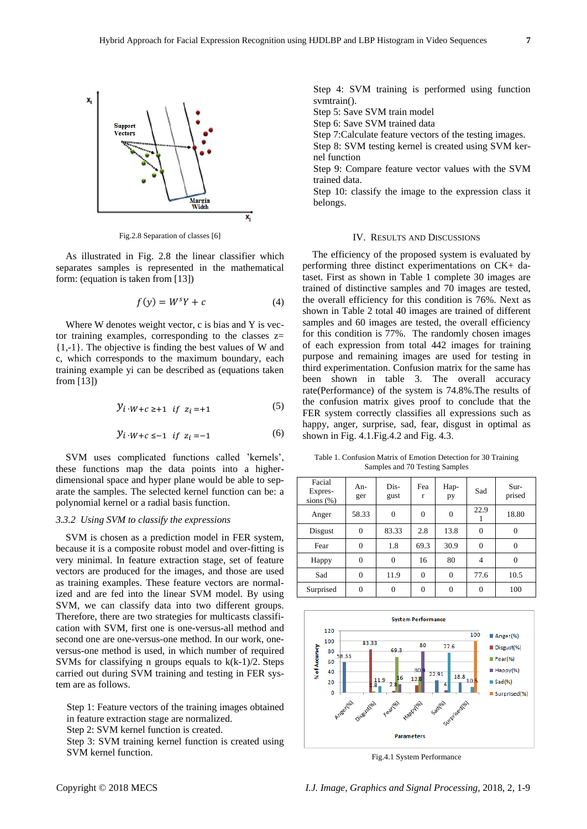

Fig.2.8 Separation of classes [6]

As illustrated in Fig. 2.8 the linear classifier which separates samples is represented in the mathematical form: (equation is taken from [13])

$$
f(y) = W^s Y + c \tag{4}
$$

Where W denotes weight vector, c is bias and Y is vector training examples, corresponding to the classes  $z=$ {1,-1}. The objective is finding the best values of W and c, which corresponds to the maximum boundary, each training example yi can be described as (equations taken from [13])

$$
y_i \cdot w + c \ge 1 \quad \text{if} \quad z_i = +1 \tag{5}
$$

$$
y_i \cdot w + c \le -1 \quad \text{if} \quad z_i = -1
$$
 (6)

SVM uses complicated functions called 'kernels', these functions map the data points into a higherdimensional space and hyper plane would be able to separate the samples. The selected kernel function can be: a polynomial kernel or a radial basis function.

# *3.3.2 Using SVM to classify the expressions*

SVM is chosen as a prediction model in FER system, because it is a composite robust model and over-fitting is very minimal. In feature extraction stage, set of feature vectors are produced for the images, and those are used as training examples. These feature vectors are normalized and are fed into the linear SVM model. By using SVM, we can classify data into two different groups. Therefore, there are two strategies for multicasts classification with SVM, first one is one-versus-all method and second one are one-versus-one method. In our work, oneversus-one method is used, in which number of required SVMs for classifying n groups equals to k(k-1)/2. Steps carried out during SVM training and testing in FER system are as follows.

Step 1: Feature vectors of the training images obtained in feature extraction stage are normalized. Step 2: SVM kernel function is created.

Step 3: SVM training kernel function is created using SVM kernel function.

Step 4: SVM training is performed using function svmtrain().

Step 5: Save SVM train model

Step 6: Save SVM trained data

Step 7:Calculate feature vectors of the testing images.

Step 8: SVM testing kernel is created using SVM kernel function

Step 9: Compare feature vector values with the SVM trained data.

Step 10: classify the image to the expression class it belongs.

## IV. RESULTS AND DISCUSSIONS

The efficiency of the proposed system is evaluated by performing three distinct experimentations on CK+ dataset. First as shown in Table 1 complete 30 images are trained of distinctive samples and 70 images are tested, the overall efficiency for this condition is 76%. Next as shown in Table 2 total 40 images are trained of different samples and 60 images are tested, the overall efficiency for this condition is 77%. The randomly chosen images of each expression from total 442 images for training purpose and remaining images are used for testing in third experimentation. Confusion matrix for the same has been shown in table 3. The overall accuracy rate(Performance) of the system is 74.8%.The results of the confusion matrix gives proof to conclude that the FER system correctly classifies all expressions such as happy, anger, surprise, sad, fear, disgust in optimal as shown in Fig. 4.1.Fig.4.2 and Fig. 4.3.

Table 1. Confusion Matrix of Emotion Detection for 30 Training Samples and 70 Testing Samples

| Facial<br>Expres-<br>sions $(\%)$ | An-<br>ger     | Dis-<br>gust   | Fea<br>r | Hap-<br>pу   | Sad            | Sur-<br>prised |
|-----------------------------------|----------------|----------------|----------|--------------|----------------|----------------|
| Anger                             | 58.33          | $\overline{0}$ | $\theta$ | $\theta$     | 22.9           | 18.80          |
| Disgust                           | $\overline{0}$ | 83.33          | 2.8      | 13.8         | 0              |                |
| Fear                              | $\overline{0}$ | 1.8            | 69.3     | 30.9         | $\theta$       | $\theta$       |
| Happy                             | $\overline{0}$ | $\theta$       | 16       | 80           | $\overline{4}$ | $\Omega$       |
| Sad                               | 0              | 11.9           | $\theta$ | $\mathbf{0}$ | 77.6           | 10.5           |
| Surprised                         | $\overline{0}$ | $\overline{0}$ | $\theta$ | $\theta$     | $\Omega$       | 100            |



Fig.4.1 System Performance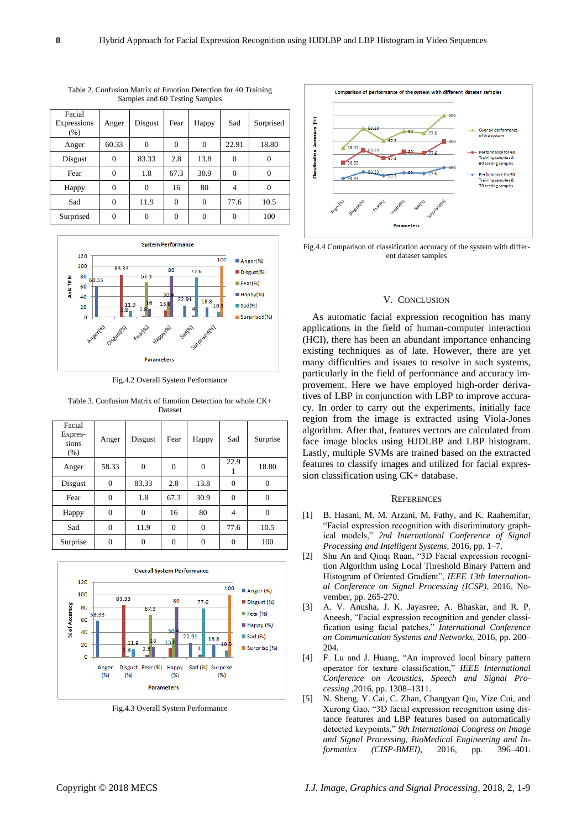| Facial<br>Expressions<br>(% ) | Anger    | Disgust        | Fear     | Happy          | Sad      | Surprised |
|-------------------------------|----------|----------------|----------|----------------|----------|-----------|
| Anger                         | 60.33    | $\overline{0}$ | $\theta$ | $\overline{0}$ | 22.91    | 18.80     |
| Disgust                       | $\theta$ | 83.33          | 2.8      | 13.8           | $\Omega$ | $\Omega$  |
| Fear                          | 0        | 1.8            | 67.3     | 30.9           | 0        | $\theta$  |
| Happy                         | $\theta$ | $\overline{0}$ | 16       | 80             | 4        | $\theta$  |
| Sad                           | 0        | 11.9           | $\theta$ | $\overline{0}$ | 77.6     | 10.5      |
| Surprised                     | $\theta$ | $\overline{0}$ | $\Omega$ | $\overline{0}$ | $\Omega$ | 100       |

Table 2. Confusion Matrix of Emotion Detection for 40 Training Samples and 60 Testing Samples



Fig.4.2 Overall System Performance

Table 3. Confusion Matrix of Emotion Detection for whole CK+ Dataset

| Facial<br>Expres-<br>sions<br>(% ) | Anger          | Disgust  | Fear     | Happy          | Sad            | Surprise |
|------------------------------------|----------------|----------|----------|----------------|----------------|----------|
| Anger                              | 58.33          | $\theta$ | $\theta$ | $\overline{0}$ | 22.9           | 18.80    |
| Disgust                            | $\overline{0}$ | 83.33    | 2.8      | 13.8           | $\theta$       | 0        |
| Fear                               | $\overline{0}$ | 1.8      | 67.3     | 30.9           | $\Omega$       | $\theta$ |
| Happy                              | $\overline{0}$ | $\Omega$ | 16       | 80             | $\overline{4}$ | $\theta$ |
| Sad                                | $\overline{0}$ | 11.9     | $\Omega$ | 0              | 77.6           | 10.5     |
| Surprise                           | 0              | 0        | $\theta$ | 0              | 0              | 100      |



Fig.4.3 Overall System Performance



Fig.4.4 Comparison of classification accuracy of the system with different dataset samples

# V. CONCLUSION

As automatic facial expression recognition has many applications in the field of human-computer interaction (HCI), there has been an abundant importance enhancing existing techniques as of late. However, there are yet many difficulties and issues to resolve in such systems, particularly in the field of performance and accuracy improvement. Here we have employed high-order derivatives of LBP in conjunction with LBP to improve accuracy. In order to carry out the experiments, initially face region from the image is extracted using Viola-Jones algorithm. After that, features vectors are calculated from face image blocks using HJDLBP and LBP histogram. Lastly, multiple SVMs are trained based on the extracted features to classify images and utilized for facial expression classification using CK+ database.

#### **REFERENCES**

- [1] B. Hasani, M. M. Arzani, M. Fathy, and K. Raahemifar, "Facial expression recognition with discriminatory graphical models," *2nd International Conference of Signal Processing and Intelligent Systems,* 2016, pp. 1–7.
- [2] Shu An and Qiuqi Ruan, "3D Facial expression recognition Algorithm using Local Threshold Binary Pattern and Histogram of Oriented Gradient", *IEEE 13th International Conference on Signal Processing (ICSP)*, 2016, November, pp. 265-270.
- [3] A. V. Anusha, J. K. Jayasree, A. Bhaskar, and R. P. Aneesh, "Facial expression recognition and gender classification using facial patches," *International Conference on Communication Systems and Networks*, 2016, pp. 200– 204.
- [4] F. Lu and J. Huang, "An improved local binary pattern operator for texture classification," *IEEE International Conference on Acoustics, Speech and Signal Processing* ,2016, pp. 1308–1311.
- [5] N. Sheng, Y. Cai, C. Zhan, Changyan Qiu, Yize Cui, and Xurong Gao, "3D facial expression recognition using distance features and LBP features based on automatically detected keypoints," *9th International Congress on Image and Signal Processing, BioMedical Engineering and Informatics (CISP-BMEI),* 2016, pp. 396–401.